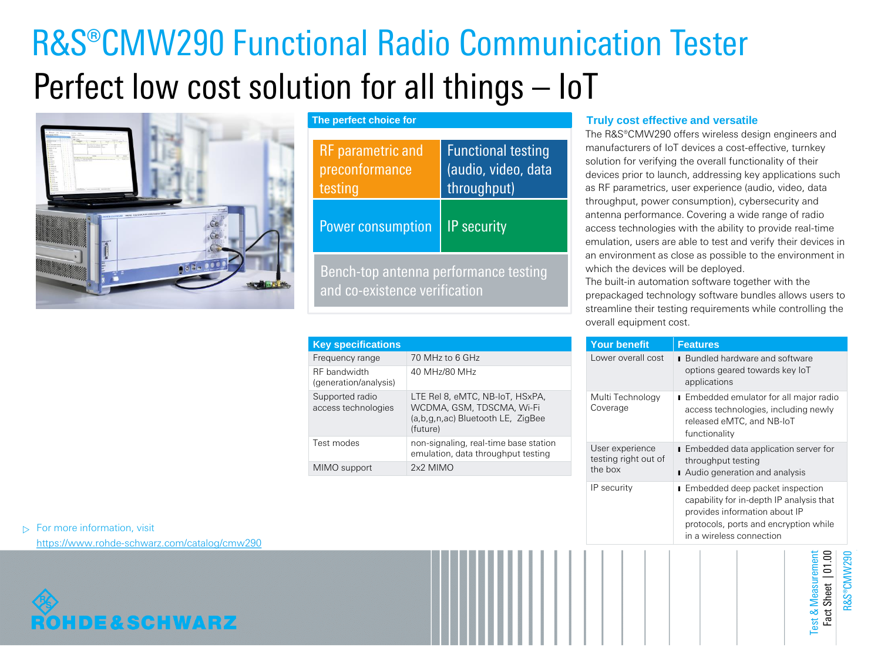# R&S®CMW290 Functional Radio Communication Tester Perfect low cost solution for all things – IoT



**The perfect choice for**

| <b>RF</b> parametric and<br>preconformance<br>testing                  | <b>Functional testing</b><br>(audio, video, data<br>throughput) |  |
|------------------------------------------------------------------------|-----------------------------------------------------------------|--|
| <b>Power consumption</b>                                               | <b>IP</b> security                                              |  |
| Bench-top antenna performance testing<br>and co-existence verification |                                                                 |  |

| <b>Key specifications</b>              |                                                                                                               |
|----------------------------------------|---------------------------------------------------------------------------------------------------------------|
| Frequency range                        | 70 MHz to 6 GHz                                                                                               |
| RF bandwidth<br>(generation/analysis)  | 40 MHz/80 MHz                                                                                                 |
| Supported radio<br>access technologies | LTE Rel 8, eMTC, NB-IoT, HSxPA,<br>WCDMA, GSM, TDSCMA, Wi-Fi<br>(a,b,g,n,ac) Bluetooth LE, ZigBee<br>(future) |
| Test modes                             | non-signaling, real-time base station<br>emulation, data throughput testing                                   |
| MIMO support                           | 2x2 MIMO                                                                                                      |

## **Truly cost effective and versatile**

The R&S®CMW290 offers wireless design engineers and manufacturers of IoT devices a cost-effective, turnkey solution for verifying the overall functionality of their devices prior to launch, addressing key applications such as RF parametrics, user experience (audio, video, data throughput, power consumption), cybersecurity and antenna performance. Covering a wide range of radio access technologies with the ability to provide real-time emulation, users are able to test and verify their devices in an environment as close as possible to the environment in which the devices will be deployed.

The built-in automation software together with the prepackaged technology software bundles allows users to streamline their testing requirements while controlling the overall equipment cost.

| <b>Your benefit</b>                                | <b>Features</b>                                                                                                                                                                   |  |
|----------------------------------------------------|-----------------------------------------------------------------------------------------------------------------------------------------------------------------------------------|--|
| Lower overall cost                                 | <b>Bundled hardware and software</b><br>options geared towards key loT<br>applications                                                                                            |  |
| Multi Technology<br>Coverage                       | Embedded emulator for all major radio<br>access technologies, including newly<br>released eMTC, and NB-IoT<br>functionality                                                       |  |
| User experience<br>testing right out of<br>the box | Embedded data application server for<br>throughput testing<br>Audio generation and analysis                                                                                       |  |
| IP security                                        | Embedded deep packet inspection<br>capability for in-depth IP analysis that<br>provides information about IP<br>protocols, ports and encryption while<br>in a wireless connection |  |
|                                                    | est & Measuremen<br><b>NIND®S&amp;</b><br>act Sheet                                                                                                                               |  |

 $\triangleright$  For more information, visit

<https://www.rohde-schwarz.com/catalog/cmw290>